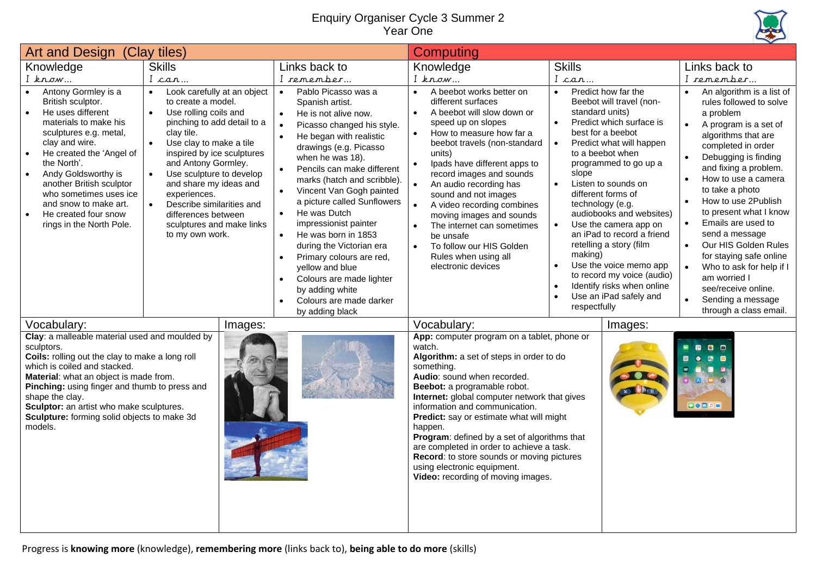## Enquiry Organiser Cycle 3 Summer 2 Year One



| Art and Design (Clay tiles)                                                                                                                                                                                                                                                                                                                                         |                                                                                                                                                                                                                                                                                                                                                                                                                                       |                                                                                                                                                                                                                                                                                                                                                                                                                                                                                                                                                                                                                     | <b>Computing</b>                                                                                                                                                                                                                                                                                                                                                                                                                                                                                                                                    |                                                                                                                                                                                                                                                                                                                                                                                                                                                                                                                                                                                     |                                                                                                                                                                                                                                                                                                                                                                                                                                                                                                                            |  |
|---------------------------------------------------------------------------------------------------------------------------------------------------------------------------------------------------------------------------------------------------------------------------------------------------------------------------------------------------------------------|---------------------------------------------------------------------------------------------------------------------------------------------------------------------------------------------------------------------------------------------------------------------------------------------------------------------------------------------------------------------------------------------------------------------------------------|---------------------------------------------------------------------------------------------------------------------------------------------------------------------------------------------------------------------------------------------------------------------------------------------------------------------------------------------------------------------------------------------------------------------------------------------------------------------------------------------------------------------------------------------------------------------------------------------------------------------|-----------------------------------------------------------------------------------------------------------------------------------------------------------------------------------------------------------------------------------------------------------------------------------------------------------------------------------------------------------------------------------------------------------------------------------------------------------------------------------------------------------------------------------------------------|-------------------------------------------------------------------------------------------------------------------------------------------------------------------------------------------------------------------------------------------------------------------------------------------------------------------------------------------------------------------------------------------------------------------------------------------------------------------------------------------------------------------------------------------------------------------------------------|----------------------------------------------------------------------------------------------------------------------------------------------------------------------------------------------------------------------------------------------------------------------------------------------------------------------------------------------------------------------------------------------------------------------------------------------------------------------------------------------------------------------------|--|
| Knowledge                                                                                                                                                                                                                                                                                                                                                           | <b>Skills</b>                                                                                                                                                                                                                                                                                                                                                                                                                         | Links back to                                                                                                                                                                                                                                                                                                                                                                                                                                                                                                                                                                                                       | Knowledge                                                                                                                                                                                                                                                                                                                                                                                                                                                                                                                                           | <b>Skills</b>                                                                                                                                                                                                                                                                                                                                                                                                                                                                                                                                                                       | Links back to                                                                                                                                                                                                                                                                                                                                                                                                                                                                                                              |  |
| $I$ know                                                                                                                                                                                                                                                                                                                                                            | I can                                                                                                                                                                                                                                                                                                                                                                                                                                 | I remember                                                                                                                                                                                                                                                                                                                                                                                                                                                                                                                                                                                                          | $I$ know                                                                                                                                                                                                                                                                                                                                                                                                                                                                                                                                            | I can                                                                                                                                                                                                                                                                                                                                                                                                                                                                                                                                                                               | I remember                                                                                                                                                                                                                                                                                                                                                                                                                                                                                                                 |  |
| Antony Gormley is a<br>British sculptor.<br>He uses different<br>materials to make his<br>sculptures e.g. metal,<br>clay and wire.<br>He created the 'Angel of<br>the North'.<br>Andy Goldsworthy is<br>$\bullet$<br>another British sculptor<br>who sometimes uses ice<br>and snow to make art.<br>He created four snow<br>rings in the North Pole.                | Look carefully at an object<br>to create a model.<br>Use rolling coils and<br>$\bullet$<br>pinching to add detail to a<br>clay tile.<br>Use clay to make a tile<br>$\bullet$<br>inspired by ice sculptures<br>and Antony Gormley.<br>Use sculpture to develop<br>$\bullet$<br>and share my ideas and<br>experiences.<br>Describe similarities and<br>$\bullet$<br>differences between<br>sculptures and make links<br>to my own work. | Pablo Picasso was a<br>Spanish artist.<br>He is not alive now.<br>$\bullet$<br>Picasso changed his style.<br>He began with realistic<br>$\bullet$<br>drawings (e.g. Picasso<br>when he was 18).<br>Pencils can make different<br>$\bullet$<br>marks (hatch and scribble).<br>Vincent Van Gogh painted<br>$\bullet$<br>a picture called Sunflowers<br>He was Dutch<br>$\bullet$<br>impressionist painter<br>He was born in 1853<br>$\bullet$<br>during the Victorian era<br>Primary colours are red,<br>yellow and blue<br>Colours are made lighter<br>by adding white<br>Colours are made darker<br>by adding black | A beebot works better on<br>$\bullet$<br>different surfaces<br>A beebot will slow down or<br>$\bullet$<br>speed up on slopes<br>How to measure how far a<br>$\bullet$<br>beebot travels (non-standard<br>units)<br>Ipads have different apps to<br>record images and sounds<br>An audio recording has<br>sound and not images<br>A video recording combines<br>$\bullet$<br>moving images and sounds<br>The internet can sometimes<br>$\bullet$<br>be unsafe<br>To follow our HIS Golden<br>$\bullet$<br>Rules when using all<br>electronic devices | Predict how far the<br>Beebot will travel (non-<br>standard units)<br>$\bullet$<br>Predict which surface is<br>best for a beebot<br>Predict what will happen<br>$\bullet$<br>to a beebot when<br>programmed to go up a<br>slope<br>Listen to sounds on<br>$\bullet$<br>different forms of<br>technology (e.g.<br>audiobooks and websites)<br>Use the camera app on<br>an iPad to record a friend<br>retelling a story (film<br>making)<br>Use the voice memo app<br>to record my voice (audio)<br>Identify risks when online<br>$\bullet$<br>Use an iPad safely and<br>respectfully | An algorithm is a list of<br>rules followed to solve<br>a problem<br>A program is a set of<br>algorithms that are<br>completed in order<br>Debugging is finding<br>and fixing a problem.<br>How to use a camera<br>$\bullet$<br>to take a photo<br>How to use 2Publish<br>to present what I know<br>Emails are used to<br>send a message<br>Our HIS Golden Rules<br>$\bullet$<br>for staying safe online<br>Who to ask for help if I<br>am worried I<br>see/receive online.<br>Sending a message<br>through a class email. |  |
| Vocabulary:                                                                                                                                                                                                                                                                                                                                                         | Images:                                                                                                                                                                                                                                                                                                                                                                                                                               |                                                                                                                                                                                                                                                                                                                                                                                                                                                                                                                                                                                                                     | Vocabulary:                                                                                                                                                                                                                                                                                                                                                                                                                                                                                                                                         | Images:                                                                                                                                                                                                                                                                                                                                                                                                                                                                                                                                                                             |                                                                                                                                                                                                                                                                                                                                                                                                                                                                                                                            |  |
| Clay: a malleable material used and moulded by<br>sculptors.<br>Coils: rolling out the clay to make a long roll<br>which is coiled and stacked.<br>Material: what an object is made from.<br>Pinching: using finger and thumb to press and<br>shape the clay.<br>Sculptor: an artist who make sculptures.<br>Sculpture: forming solid objects to make 3d<br>models. |                                                                                                                                                                                                                                                                                                                                                                                                                                       |                                                                                                                                                                                                                                                                                                                                                                                                                                                                                                                                                                                                                     | App: computer program on a tablet, phone or<br>watch.<br>Algorithm: a set of steps in order to do<br>something.<br>Audio: sound when recorded.<br>Beebot: a programable robot.<br>Internet: global computer network that gives<br>information and communication.<br>Predict: say or estimate what will might<br>happen.<br>Program: defined by a set of algorithms that<br>are completed in order to achieve a task.<br>Record: to store sounds or moving pictures<br>using electronic equipment.<br>Video: recording of moving images.             |                                                                                                                                                                                                                                                                                                                                                                                                                                                                                                                                                                                     | $\bullet$<br>000000                                                                                                                                                                                                                                                                                                                                                                                                                                                                                                        |  |